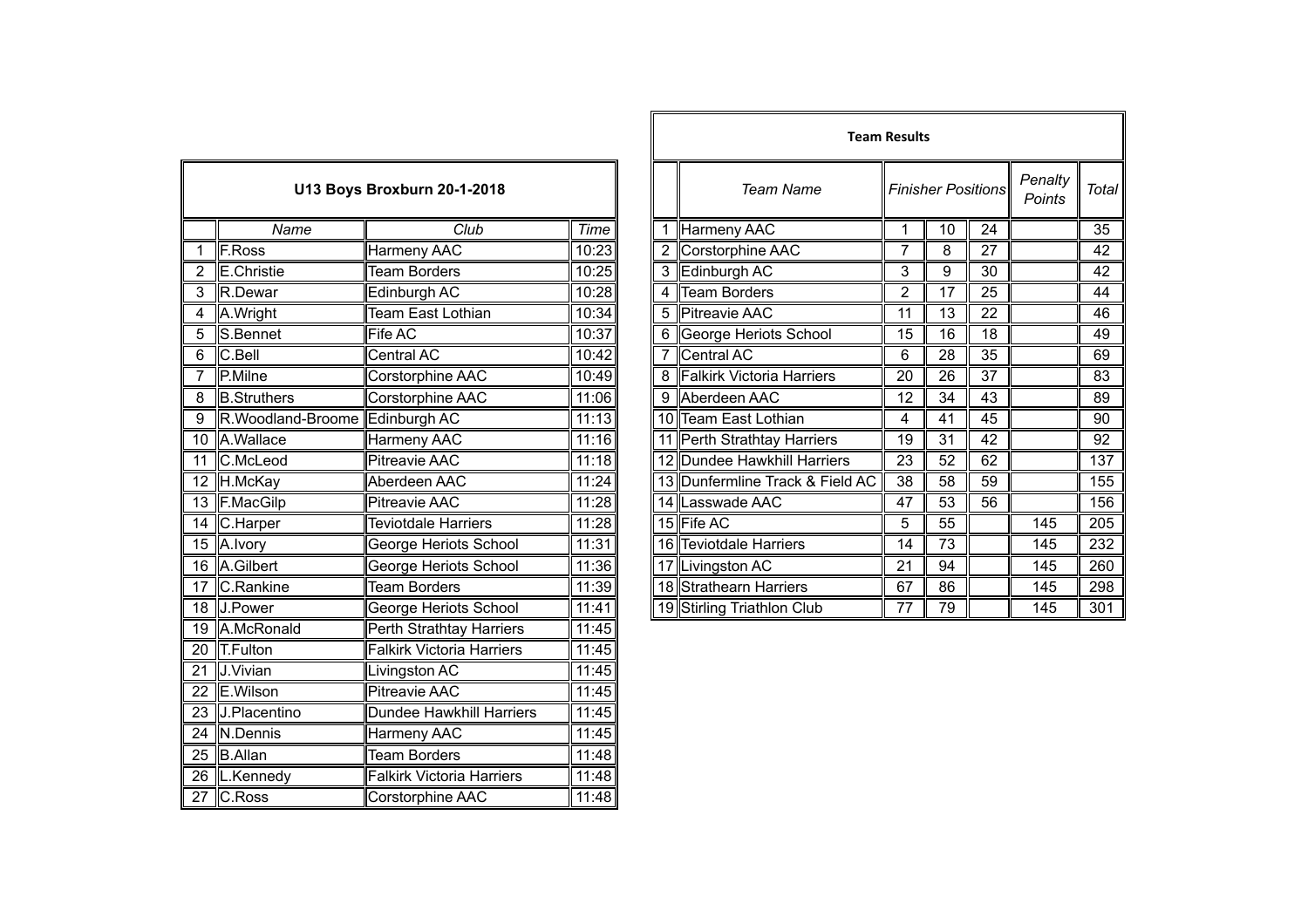| U13 Boys Broxburn 20-1-2018 |                                 |                                  |       |  |  |
|-----------------------------|---------------------------------|----------------------------------|-------|--|--|
|                             | Name                            | Club                             | Time  |  |  |
| 1                           | F.Ross                          | <b>Harmeny AAC</b>               | 10:23 |  |  |
| $\overline{2}$              | <b>E.Christie</b>               | <b>Team Borders</b>              | 10:25 |  |  |
| $\overline{3}$              | R.Dewar                         | Edinburgh AC                     | 10:28 |  |  |
| 4                           | A.Wright                        | Team East Lothian                | 10:34 |  |  |
| $\overline{5}$              | S.Bennet                        | <b>Fife AC</b>                   | 10:37 |  |  |
| 6                           | $\overline{C}$ .Bell            | <b>Central AC</b>                | 10:42 |  |  |
| 7                           | P.Milne                         | Corstorphine AAC                 | 10:49 |  |  |
| $\overline{8}$              | <b>B.Struthers</b>              | Corstorphine AAC                 | 11:06 |  |  |
| 9                           | R. Woodland-Broome Edinburgh AC |                                  | 11:13 |  |  |
| $\overline{10}$             | A.Wallace                       | Harmeny AAC                      | 11:16 |  |  |
| 11                          | C.McLeod                        | <b>Pitreavie AAC</b>             | 11:18 |  |  |
| $\overline{12}$             | H.McKay                         | Aberdeen AAC                     | 11:24 |  |  |
| 13                          | F.MacGilp                       | <b>Pitreavie AAC</b>             | 11:28 |  |  |
| 14                          | C.Harper                        | <b>Teviotdale Harriers</b>       | 11:28 |  |  |
| 15                          | A. Ivory                        | George Heriots School            | 11:31 |  |  |
| 16                          | A.Gilbert                       | George Heriots School            | 11:36 |  |  |
| $\overline{17}$             | C.Rankine                       | <b>Team Borders</b>              | 11:39 |  |  |
| $\overline{18}$             | J.Power                         | George Heriots School            | 11:41 |  |  |
| $\overline{19}$             | A.McRonald                      | <b>Perth Strathtay Harriers</b>  | 11:45 |  |  |
| $\overline{20}$             | <b>T.Fulton</b>                 | <b>Falkirk Victoria Harriers</b> | 11:45 |  |  |
| $\overline{21}$             | J.Vivian                        | Livingston AC                    | 11:45 |  |  |
| 22                          | E.Wilson                        | <b>Pitreavie AAC</b>             | 11:45 |  |  |
| 23                          | J.Placentino                    | <b>Dundee Hawkhill Harriers</b>  | 11:45 |  |  |
| 24                          | N.Dennis                        | <b>Harmeny AAC</b>               | 11:45 |  |  |
| $\overline{25}$             | <b>B.Allan</b>                  | <b>Team Borders</b>              | 11:48 |  |  |
| 26                          | L.Kennedy                       | <b>Falkirk Victoria Harriers</b> | 11:48 |  |  |
| $\overline{27}$             | C.Ross                          | Corstorphine AAC                 | 11:48 |  |  |

|                |                    |                                    |       |  |                                 | <b>Team Results</b> |    |                           |                   |              |
|----------------|--------------------|------------------------------------|-------|--|---------------------------------|---------------------|----|---------------------------|-------------------|--------------|
|                |                    | <b>U13 Boys Broxburn 20-1-2018</b> |       |  | <b>Team Name</b>                |                     |    | <b>Finisher Positions</b> | Penalty<br>Points | <b>Total</b> |
|                | Name               | Club                               | Time  |  | Harmeny AAC                     |                     | 10 | 24                        |                   | 35           |
|                | F.Ross             | Harmeny AAC                        | 10:23 |  | Corstorphine AAC                | 7                   | 8  | 27                        |                   | 42           |
|                | E.Christie         | <b>Team Borders</b>                | 10:25 |  | 3 Edinburgh AC                  | 3                   | 9  | 30                        |                   | 42           |
|                | R.Dewar            | Edinburgh AC                       | 10:28 |  | <b>Team Borders</b>             | $\overline{2}$      | 17 | 25                        |                   | 44           |
|                | 4 A.Wright         | <b>Team East Lothian</b>           | 10:34 |  | 5 Pitreavie AAC                 | 11                  | 13 | 22                        |                   | 46           |
| 5              | S.Bennet           | Fife AC                            | 10:37 |  | 6 George Heriots School         | 15                  | 16 | 18                        |                   | 49           |
| $\overline{6}$ | C.Bell             | Central AC                         | 10:42 |  | Central AC                      | 6                   | 28 | 35                        |                   | 69           |
|                | P.Milne            | <b>Corstorphine AAC</b>            | 10:49 |  | 8 Falkirk Victoria Harriers     | 20                  | 26 | 37                        |                   | 83           |
| $\overline{8}$ | <b>B.Struthers</b> | Corstorphine AAC                   | 11:06 |  | 9 Aberdeen AAC                  | 12                  | 34 | 43                        |                   | 89           |
| $\overline{9}$ | R.Woodland-Broome  | Edinburgh AC                       | 11:13 |  | 10 Team East Lothian            | 4                   | 41 | 45                        |                   | 90           |
|                | 10 A.Wallace       | Harmeny AAC                        | 11:16 |  | 11 Perth Strathtay Harriers     | 19                  | 31 | 42                        |                   | 92           |
|                | 11 C.McLeod        | Pitreavie AAC                      | 11:18 |  | 12 Dundee Hawkhill Harriers     | 23                  | 52 | 62                        |                   | 137          |
|                | 12 H.McKay         | Aberdeen AAC                       | 11:24 |  | 13 Dunfermline Track & Field AC | 38                  | 58 | 59                        |                   | 155          |
|                | 13 F.MacGilp       | Pitreavie AAC                      | 11:28 |  | 14 Lasswade AAC                 | 47                  | 53 | 56                        |                   | 156          |
|                | 14 C.Harper        | <b>Teviotdale Harriers</b>         | 11:28 |  | 15 Fife AC                      | $\overline{5}$      | 55 |                           | 145               | 205          |
|                | 15 A.Ivory         | George Heriots School              | 11:31 |  | 16 Teviotdale Harriers          | 14                  | 73 |                           | 145               | 232          |
|                | 16 A.Gilbert       | George Heriots School              | 11:36 |  | 17 Livingston AC                | 21                  | 94 |                           | 145               | 260          |
|                | 17 C.Rankine       | <b>Team Borders</b>                | 11:39 |  | 18 Strathearn Harriers          | 67                  | 86 |                           | 145               | 298          |
|                | 18 J.Power         | George Heriots School              | 11:41 |  | 19 Stirling Triathlon Club      | 77                  | 79 |                           | 145               | 301          |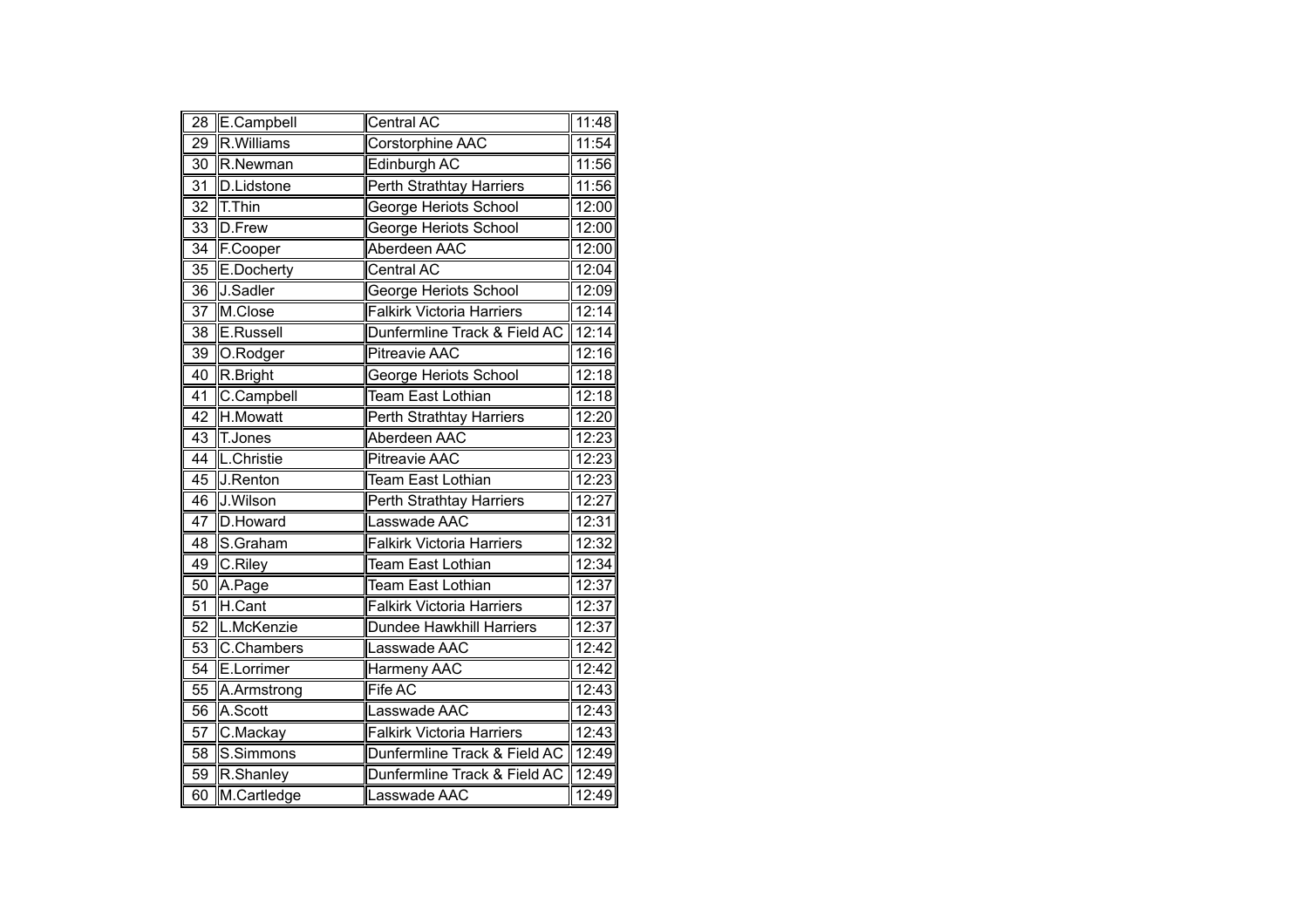| 28              | E.Campbell        | Central AC                       | 11:48              |
|-----------------|-------------------|----------------------------------|--------------------|
| $\overline{29}$ | R.Williams        | <b>Corstorphine AAC</b>          | 11:54              |
| $\overline{30}$ | R.Newman          | <b>Edinburgh AC</b>              | 11:56              |
| $\overline{31}$ | <b>D.Lidstone</b> | <b>Perth Strathtay Harriers</b>  | 11:56              |
| $\overline{32}$ | T.Thin            | <b>George Heriots School</b>     | $\overline{12:}00$ |
| $\overline{33}$ | D.Frew            | <b>George Heriots School</b>     | 12:00              |
| 34              | F.Cooper          | Aberdeen AAC                     | 12:00              |
| 35              | E.Docherty        | Central AC                       | 12:04              |
| $\overline{36}$ | J.Sadler          | George Heriots School            | 12:09              |
| $\overline{37}$ | M.Close           | <b>Falkirk Victoria Harriers</b> | 12:14              |
| $\overline{38}$ | E.Russell         | Dunfermline Track & Field AC     | 12:14              |
| 39              | O.Rodger          | <b>Pitreavie AAC</b>             | 12:16              |
| 40              | R.Bright          | George Heriots School            | 12:18              |
| 41              | C.Campbell        | <b>Team East Lothian</b>         | 12:18              |
| $\overline{42}$ | H.Mowatt          | <b>Perth Strathtay Harriers</b>  | 12:20              |
| 43              | T.Jones           | Aberdeen AAC                     | 12:23              |
| 44              | L.Christie        | <b>Pitreavie AAC</b>             | 12:23              |
| 45              | J.Renton          | <b>Team East Lothian</b>         | 12:23              |
| 46              | J.Wilson          | Perth Strathtay Harriers         | 12:27              |
| $\overline{47}$ | D.Howard          | Lasswade AAC                     | 12:31              |
| $\overline{48}$ | S.Graham          | <b>Falkirk Victoria Harriers</b> | 12:32              |
| 49              | C.Riley           | <b>Team East Lothian</b>         | 12:34              |
| 50              | A.Page            | <b>Team East Lothian</b>         | 12:37              |
| 51              | H.Cant            | <b>Falkirk Victoria Harriers</b> | 12:37              |
| $\overline{52}$ | L.McKenzie        | <b>Dundee Hawkhill Harriers</b>  | 12:37              |
| $\overline{53}$ | C.Chambers        | Lasswade AAC                     | 12:42              |
| 54              | E.Lorrimer        | Harmeny AAC                      | 12:42              |
| 55              | A.Armstrong       | Fife AC                          | 12:43              |
| 56              | A.Scott           | Lasswade AAC                     | 12:43              |
| 57              | C.Mackay          | <b>Falkirk Victoria Harriers</b> | 12:43              |
| 58              | S.Simmons         | Dunfermline Track & Field AC     | 12:49              |
| 59              | R.Shanley         | Dunfermline Track & Field AC     | 12:49              |
| 60              | M.Cartledge       | Lasswade AAC                     | 12:49              |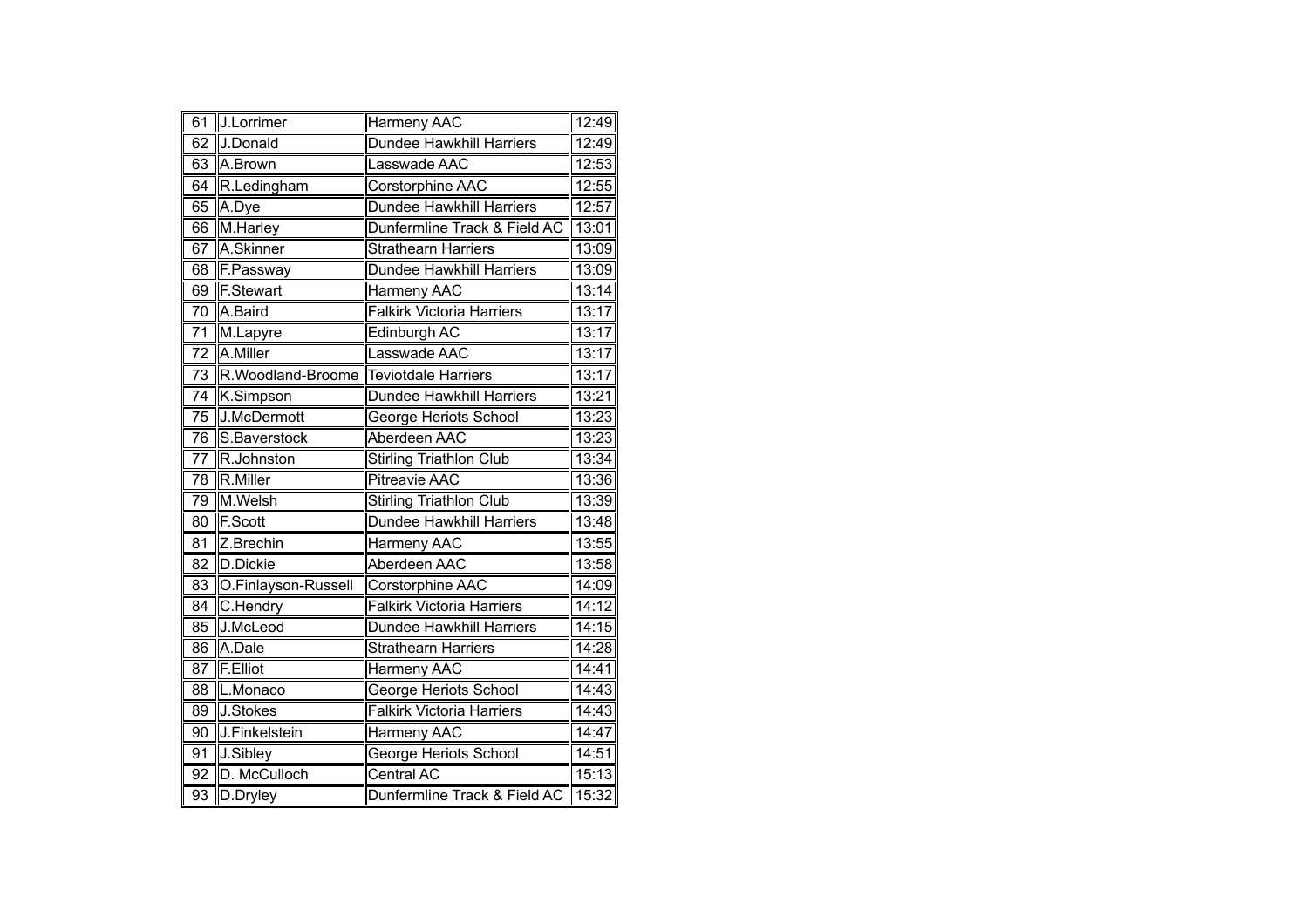| 61              | J.Lorrimer          | <b>Harmeny AAC</b>               | 12:49 |
|-----------------|---------------------|----------------------------------|-------|
| 62              | J.Donald            | <b>Dundee Hawkhill Harriers</b>  | 12:49 |
| 63              | A.Brown             | Lasswade AAC                     | 12:53 |
| 64              | R.Ledingham         | Corstorphine AAC                 | 12:55 |
| 65              | A.Dye               | Dundee Hawkhill Harriers         | 12:57 |
| 66              | M.Harley            | Dunfermline Track & Field AC     | 13:01 |
| 67              | A.Skinner           | Strathearn Harriers              | 13:09 |
| 68              | F.Passway           | Dundee Hawkhill Harriers         | 13:09 |
| 69              | <b>F.Stewart</b>    | Harmeny AAC                      | 13:14 |
| $\overline{70}$ | A.Baird             | <b>Falkirk Victoria Harriers</b> | 13:17 |
| 71              | M.Lapyre            | Edinburgh AC                     | 13:17 |
| 72              | A.Miller            | Lasswade AAC                     | 13:17 |
| $\overline{73}$ | R.Woodland-Broome   | <b>Teviotdale Harriers</b>       | 13:17 |
| $\overline{74}$ | K.Simpson           | Dundee Hawkhill Harriers         | 13:21 |
| 75              | J.McDermott         | George Heriots School            | 13:23 |
| 76              | S.Baverstock        | Aberdeen AAC                     | 13:23 |
| 77              | R.Johnston          | <b>Stirling Triathlon Club</b>   | 13:34 |
| 78              | R.Miller            | <b>Pitreavie AAC</b>             | 13:36 |
| 79              | M.Welsh             | <b>Stirling Triathlon Club</b>   | 13:39 |
| $\overline{80}$ | F.Scott             | Dundee Hawkhill Harriers         | 13:48 |
| $\overline{81}$ | Z.Brechin           | Harmeny AAC                      | 13:55 |
| 82              | D.Dickie            | Aberdeen AAC                     | 13:58 |
| 83              | O.Finlayson-Russell | Corstorphine AAC                 | 14:09 |
| $\overline{84}$ | C.Hendry            | <b>Falkirk Victoria Harriers</b> | 14:12 |
| 85              | J.McLeod            | Dundee Hawkhill Harriers         | 14:15 |
| 86              | A.Dale              | <b>Strathearn Harriers</b>       | 14:28 |
| 87              | F.Elliot            | Harmeny AAC                      | 14:41 |
| $\overline{88}$ | L.Monaco            | George Heriots School            | 14:43 |
| 89              | J.Stokes            | <b>Falkirk Victoria Harriers</b> | 14:43 |
| 90              | J.Finkelstein       | Harmeny AAC                      | 14:47 |
| 91              | J.Sibley            | George Heriots School            | 14:51 |
| 92              | D. McCulloch        | <b>Central AC</b>                | 15:13 |
| $\overline{93}$ | D.Dryley            | Dunfermline Track & Field AC     | 15:32 |